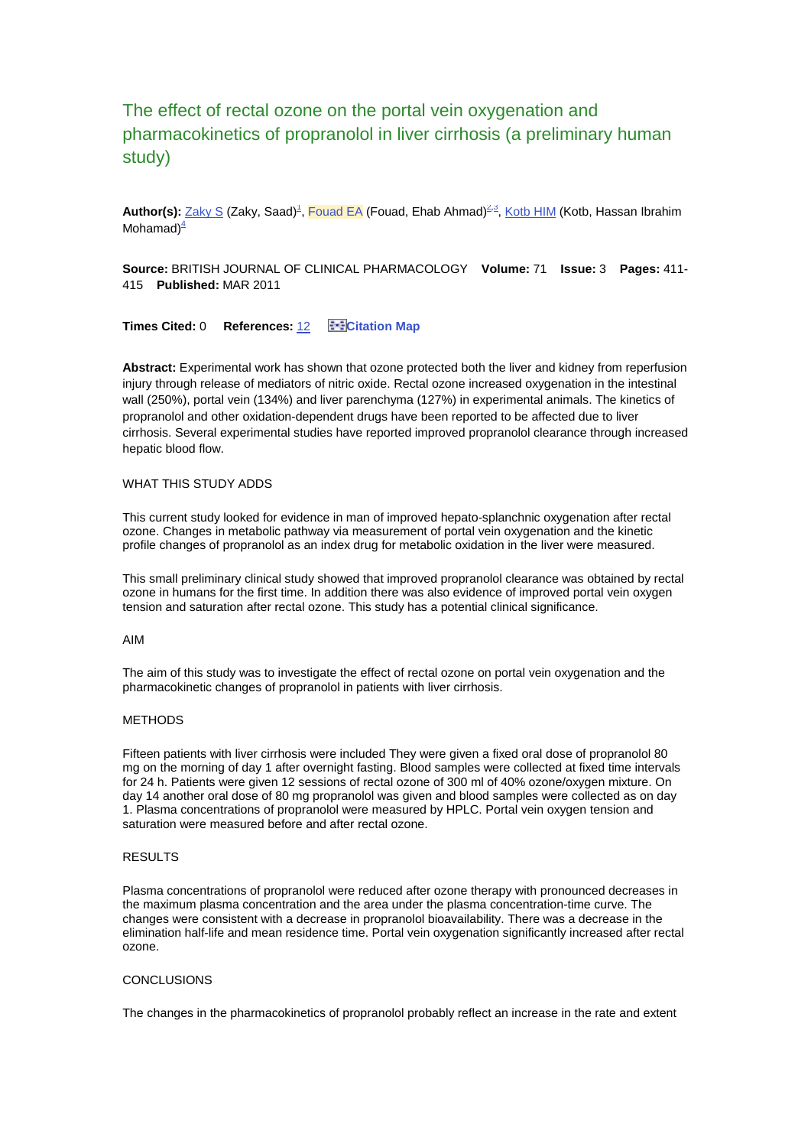# The effect of rectal ozone on the portal vein oxygenation and pharmacokinetics of propranolol in liver cirrhosis (a preliminary human study)

Author(s): [Zaky S](http://apps.isiknowledge.com/DaisyOneClickSearch.do?product=WOS&search_mode=DaisyOneClickSearch&db_id=&SID=2E1plEIlcm4cg3pOln6&name=Zaky%20S&ut=000286835500010&pos=1) (Zaky[,](http://apps.isiknowledge.com/full_record.do?product=WOS&search_mode=GeneralSearch&qid=22&SID=2E1plEIlcm4cg3pOln6&page=1&doc=2&cacheurlFromRightClick=no#address000286835500010-1) Saad)<sup>1</sup>, [Fouad EA](http://apps.isiknowledge.com/DaisyOneClickSearch.do?product=WOS&search_mode=DaisyOneClickSearch&db_id=&SID=2E1plEIlcm4cg3pOln6&name=Fouad%20EA&ut=000286835500010&pos=2) (Fouad, Ehab Ahmad)<sup>[2,](http://apps.isiknowledge.com/full_record.do?product=WOS&search_mode=GeneralSearch&qid=22&SID=2E1plEIlcm4cg3pOln6&page=1&doc=2&cacheurlFromRightClick=no#address000286835500010-2)[3](http://apps.isiknowledge.com/full_record.do?product=WOS&search_mode=GeneralSearch&qid=22&SID=2E1plEIlcm4cg3pOln6&page=1&doc=2&cacheurlFromRightClick=no#address000286835500010-3)</sup>, [Kotb HIM](http://apps.isiknowledge.com/DaisyOneClickSearch.do?product=WOS&search_mode=DaisyOneClickSearch&db_id=&SID=2E1plEIlcm4cg3pOln6&name=Kotb%20HIM&ut=000286835500010&pos=3) (Kotb, Hassan Ibrahim Mohamad $)^4$  $)^4$ 

**Source:** BRITISH JOURNAL OF CLINICAL PHARMACOLOGY **Volume:** 71 **Issue:** 3 **Pages:** 411- 415 **Published:** MAR 2011

**Times Cited: 0 References: [12](http://apps.isiknowledge.com/CitedRefList.do?product=WOS&search_mode=CitedRefList&SID=2E1plEIlcm4cg3pOln6&db_id=WOS&parentQid=22&parentDoc=2&recid=194301758) <b>ENE** [Citation Map](javascript:void();)

**Abstract:** Experimental work has shown that ozone protected both the liver and kidney from reperfusion injury through release of mediators of nitric oxide. Rectal ozone increased oxygenation in the intestinal wall (250%), portal vein (134%) and liver parenchyma (127%) in experimental animals. The kinetics of propranolol and other oxidation-dependent drugs have been reported to be affected due to liver cirrhosis. Several experimental studies have reported improved propranolol clearance through increased hepatic blood flow.

## WHAT THIS STUDY ADDS

This current study looked for evidence in man of improved hepato-splanchnic oxygenation after rectal ozone. Changes in metabolic pathway via measurement of portal vein oxygenation and the kinetic profile changes of propranolol as an index drug for metabolic oxidation in the liver were measured.

This small preliminary clinical study showed that improved propranolol clearance was obtained by rectal ozone in humans for the first time. In addition there was also evidence of improved portal vein oxygen tension and saturation after rectal ozone. This study has a potential clinical significance.

#### AIM

The aim of this study was to investigate the effect of rectal ozone on portal vein oxygenation and the pharmacokinetic changes of propranolol in patients with liver cirrhosis.

#### METHODS

Fifteen patients with liver cirrhosis were included They were given a fixed oral dose of propranolol 80 mg on the morning of day 1 after overnight fasting. Blood samples were collected at fixed time intervals for 24 h. Patients were given 12 sessions of rectal ozone of 300 ml of 40% ozone/oxygen mixture. On day 14 another oral dose of 80 mg propranolol was given and blood samples were collected as on day 1. Plasma concentrations of propranolol were measured by HPLC. Portal vein oxygen tension and saturation were measured before and after rectal ozone.

### RESULTS

Plasma concentrations of propranolol were reduced after ozone therapy with pronounced decreases in the maximum plasma concentration and the area under the plasma concentration-time curve. The changes were consistent with a decrease in propranolol bioavailability. There was a decrease in the elimination half-life and mean residence time. Portal vein oxygenation significantly increased after rectal ozone.

### **CONCLUSIONS**

The changes in the pharmacokinetics of propranolol probably reflect an increase in the rate and extent